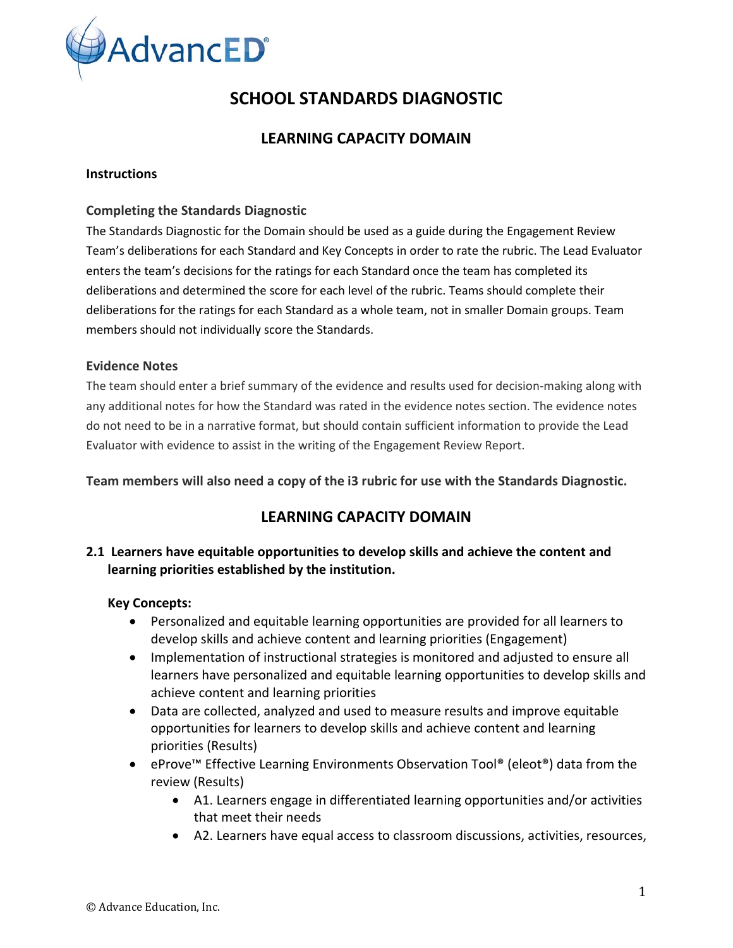

# **SCHOOL STANDARDS DIAGNOSTIC**

# **LEARNING CAPACITY DOMAIN**

#### **Instructions**

#### **Completing the Standards Diagnostic**

The Standards Diagnostic for the Domain should be used as a guide during the Engagement Review Team's deliberations for each Standard and Key Concepts in order to rate the rubric. The Lead Evaluator enters the team's decisions for the ratings for each Standard once the team has completed its deliberations and determined the score for each level of the rubric. Teams should complete their deliberations for the ratings for each Standard as a whole team, not in smaller Domain groups. Team members should not individually score the Standards.

#### **Evidence Notes**

The team should enter a brief summary of the evidence and results used for decision-making along with any additional notes for how the Standard was rated in the evidence notes section. The evidence notes do not need to be in a narrative format, but should contain sufficient information to provide the Lead Evaluator with evidence to assist in the writing of the Engagement Review Report.

**Team members will also need a copy of the i3 rubric for use with the Standards Diagnostic.**

# **LEARNING CAPACITY DOMAIN**

# **2.1 Learners have equitable opportunities to develop skills and achieve the content and learning priorities established by the institution.**

#### **Key Concepts:**

- Personalized and equitable learning opportunities are provided for all learners to develop skills and achieve content and learning priorities (Engagement)
- Implementation of instructional strategies is monitored and adjusted to ensure all learners have personalized and equitable learning opportunities to develop skills and achieve content and learning priorities
- Data are collected, analyzed and used to measure results and improve equitable opportunities for learners to develop skills and achieve content and learning priorities (Results)
- eProve™ Effective Learning Environments Observation Tool® (eleot®) data from the review (Results)
	- A1. Learners engage in differentiated learning opportunities and/or activities that meet their needs
	- A2. Learners have equal access to classroom discussions, activities, resources,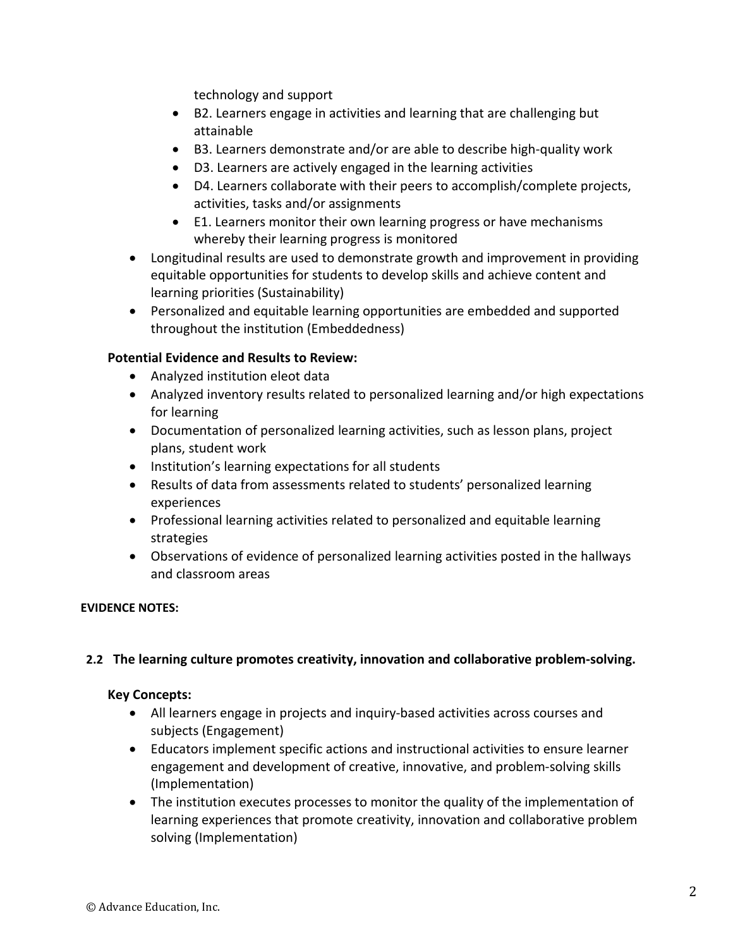technology and support

- B2. Learners engage in activities and learning that are challenging but attainable
- B3. Learners demonstrate and/or are able to describe high-quality work
- D3. Learners are actively engaged in the learning activities
- D4. Learners collaborate with their peers to accomplish/complete projects, activities, tasks and/or assignments
- E1. Learners monitor their own learning progress or have mechanisms whereby their learning progress is monitored
- Longitudinal results are used to demonstrate growth and improvement in providing equitable opportunities for students to develop skills and achieve content and learning priorities (Sustainability)
- Personalized and equitable learning opportunities are embedded and supported throughout the institution (Embeddedness)

# **Potential Evidence and Results to Review:**

- Analyzed institution eleot data
- Analyzed inventory results related to personalized learning and/or high expectations for learning
- Documentation of personalized learning activities, such as lesson plans, project plans, student work
- Institution's learning expectations for all students
- Results of data from assessments related to students' personalized learning experiences
- Professional learning activities related to personalized and equitable learning strategies
- Observations of evidence of personalized learning activities posted in the hallways and classroom areas

# **EVIDENCE NOTES:**

# **2.2 The learning culture promotes creativity, innovation and collaborative problem-solving.**

#### **Key Concepts:**

- All learners engage in projects and inquiry-based activities across courses and subjects (Engagement)
- Educators implement specific actions and instructional activities to ensure learner engagement and development of creative, innovative, and problem-solving skills (Implementation)
- The institution executes processes to monitor the quality of the implementation of learning experiences that promote creativity, innovation and collaborative problem solving (Implementation)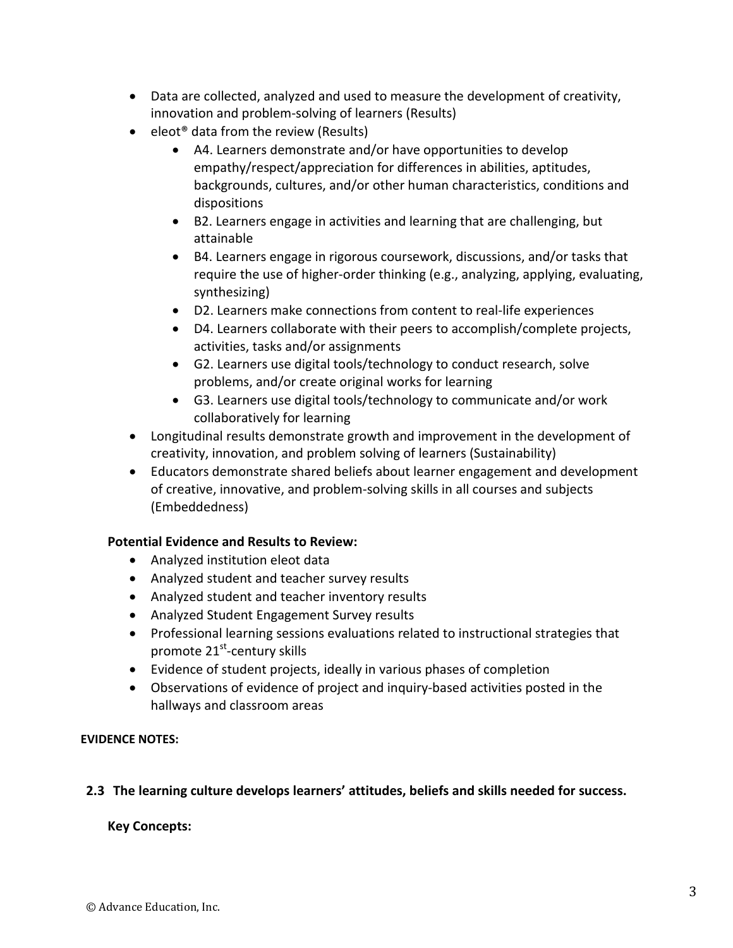- Data are collected, analyzed and used to measure the development of creativity, innovation and problem-solving of learners (Results)
- eleot<sup>®</sup> data from the review (Results)
	- A4. Learners demonstrate and/or have opportunities to develop empathy/respect/appreciation for differences in abilities, aptitudes, backgrounds, cultures, and/or other human characteristics, conditions and dispositions
	- B2. Learners engage in activities and learning that are challenging, but attainable
	- B4. Learners engage in rigorous coursework, discussions, and/or tasks that require the use of higher-order thinking (e.g., analyzing, applying, evaluating, synthesizing)
	- D2. Learners make connections from content to real-life experiences
	- D4. Learners collaborate with their peers to accomplish/complete projects, activities, tasks and/or assignments
	- G2. Learners use digital tools/technology to conduct research, solve problems, and/or create original works for learning
	- G3. Learners use digital tools/technology to communicate and/or work collaboratively for learning
- Longitudinal results demonstrate growth and improvement in the development of creativity, innovation, and problem solving of learners (Sustainability)
- Educators demonstrate shared beliefs about learner engagement and development of creative, innovative, and problem-solving skills in all courses and subjects (Embeddedness)

# **Potential Evidence and Results to Review:**

- Analyzed institution eleot data
- Analyzed student and teacher survey results
- Analyzed student and teacher inventory results
- Analyzed Student Engagement Survey results
- Professional learning sessions evaluations related to instructional strategies that promote 21<sup>st</sup>-century skills
- Evidence of student projects, ideally in various phases of completion
- Observations of evidence of project and inquiry-based activities posted in the hallways and classroom areas

# **EVIDENCE NOTES:**

# **2.3 The learning culture develops learners' attitudes, beliefs and skills needed for success.**

# **Key Concepts:**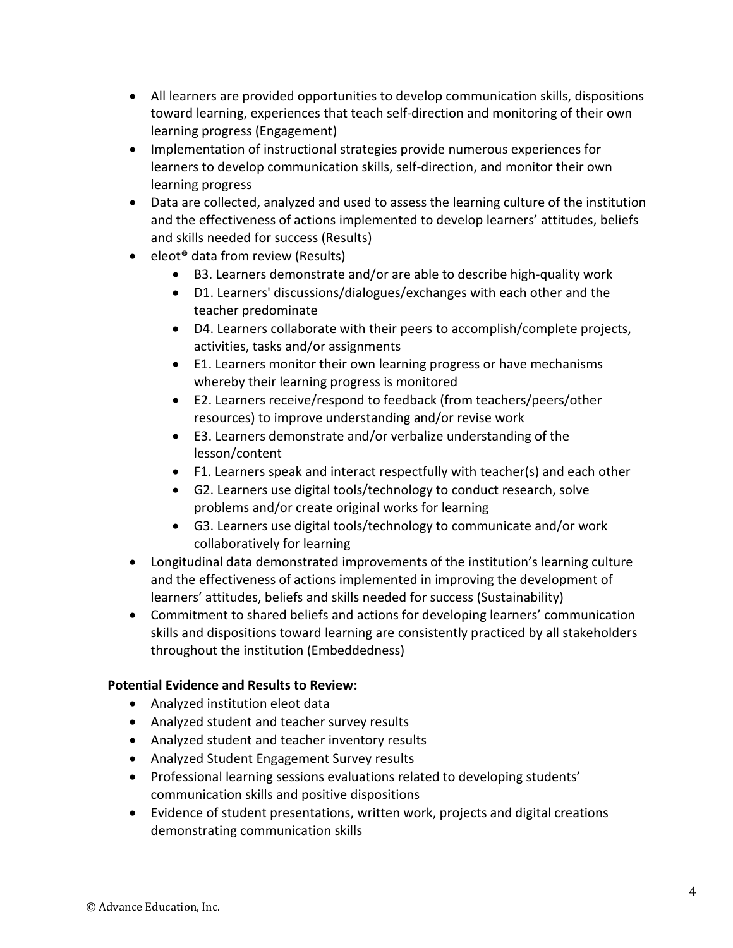- All learners are provided opportunities to develop communication skills, dispositions toward learning, experiences that teach self-direction and monitoring of their own learning progress (Engagement)
- Implementation of instructional strategies provide numerous experiences for learners to develop communication skills, self-direction, and monitor their own learning progress
- Data are collected, analyzed and used to assess the learning culture of the institution and the effectiveness of actions implemented to develop learners' attitudes, beliefs and skills needed for success (Results)
- eleot<sup>®</sup> data from review (Results)
	- B3. Learners demonstrate and/or are able to describe high-quality work
	- D1. Learners' discussions/dialogues/exchanges with each other and the teacher predominate
	- D4. Learners collaborate with their peers to accomplish/complete projects, activities, tasks and/or assignments
	- E1. Learners monitor their own learning progress or have mechanisms whereby their learning progress is monitored
	- E2. Learners receive/respond to feedback (from teachers/peers/other resources) to improve understanding and/or revise work
	- E3. Learners demonstrate and/or verbalize understanding of the lesson/content
	- F1. Learners speak and interact respectfully with teacher(s) and each other
	- G2. Learners use digital tools/technology to conduct research, solve problems and/or create original works for learning
	- G3. Learners use digital tools/technology to communicate and/or work collaboratively for learning
- Longitudinal data demonstrated improvements of the institution's learning culture and the effectiveness of actions implemented in improving the development of learners' attitudes, beliefs and skills needed for success (Sustainability)
- Commitment to shared beliefs and actions for developing learners' communication skills and dispositions toward learning are consistently practiced by all stakeholders throughout the institution (Embeddedness)

- Analyzed institution eleot data
- Analyzed student and teacher survey results
- Analyzed student and teacher inventory results
- Analyzed Student Engagement Survey results
- Professional learning sessions evaluations related to developing students' communication skills and positive dispositions
- Evidence of student presentations, written work, projects and digital creations demonstrating communication skills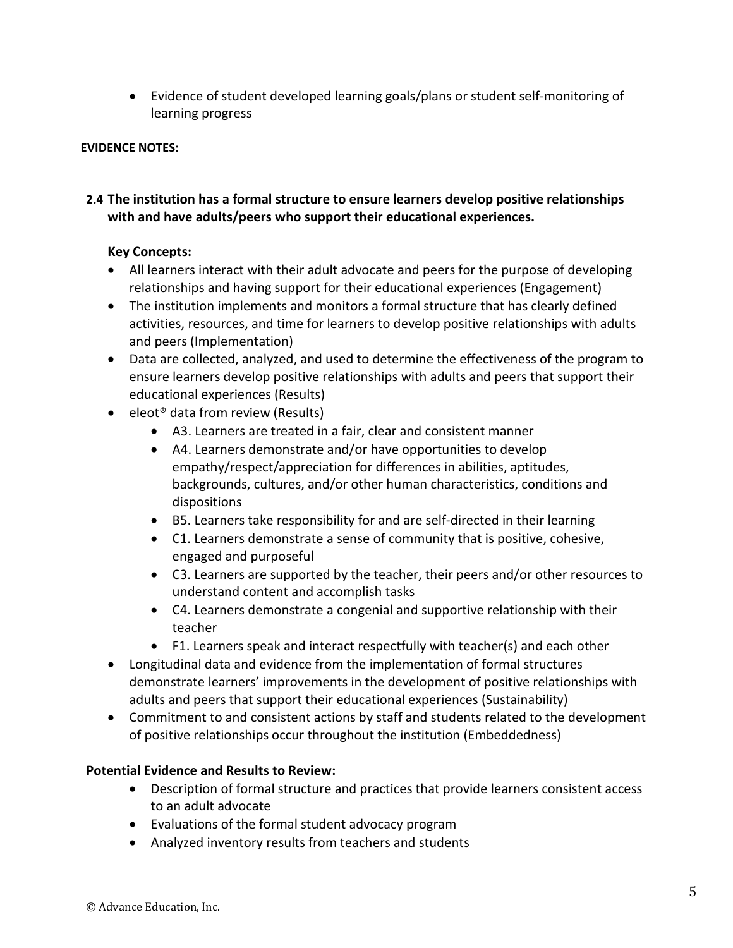• Evidence of student developed learning goals/plans or student self-monitoring of learning progress

# **EVIDENCE NOTES:**

# **2.4 The institution has a formal structure to ensure learners develop positive relationships with and have adults/peers who support their educational experiences.**

# **Key Concepts:**

- All learners interact with their adult advocate and peers for the purpose of developing relationships and having support for their educational experiences (Engagement)
- The institution implements and monitors a formal structure that has clearly defined activities, resources, and time for learners to develop positive relationships with adults and peers (Implementation)
- Data are collected, analyzed, and used to determine the effectiveness of the program to ensure learners develop positive relationships with adults and peers that support their educational experiences (Results)
- eleot<sup>®</sup> data from review (Results)
	- A3. Learners are treated in a fair, clear and consistent manner
	- A4. Learners demonstrate and/or have opportunities to develop empathy/respect/appreciation for differences in abilities, aptitudes, backgrounds, cultures, and/or other human characteristics, conditions and dispositions
	- B5. Learners take responsibility for and are self-directed in their learning
	- C1. Learners demonstrate a sense of community that is positive, cohesive, engaged and purposeful
	- C3. Learners are supported by the teacher, their peers and/or other resources to understand content and accomplish tasks
	- C4. Learners demonstrate a congenial and supportive relationship with their teacher
	- F1. Learners speak and interact respectfully with teacher(s) and each other
- Longitudinal data and evidence from the implementation of formal structures demonstrate learners' improvements in the development of positive relationships with adults and peers that support their educational experiences (Sustainability)
- Commitment to and consistent actions by staff and students related to the development of positive relationships occur throughout the institution (Embeddedness)

- Description of formal structure and practices that provide learners consistent access to an adult advocate
- Evaluations of the formal student advocacy program
- Analyzed inventory results from teachers and students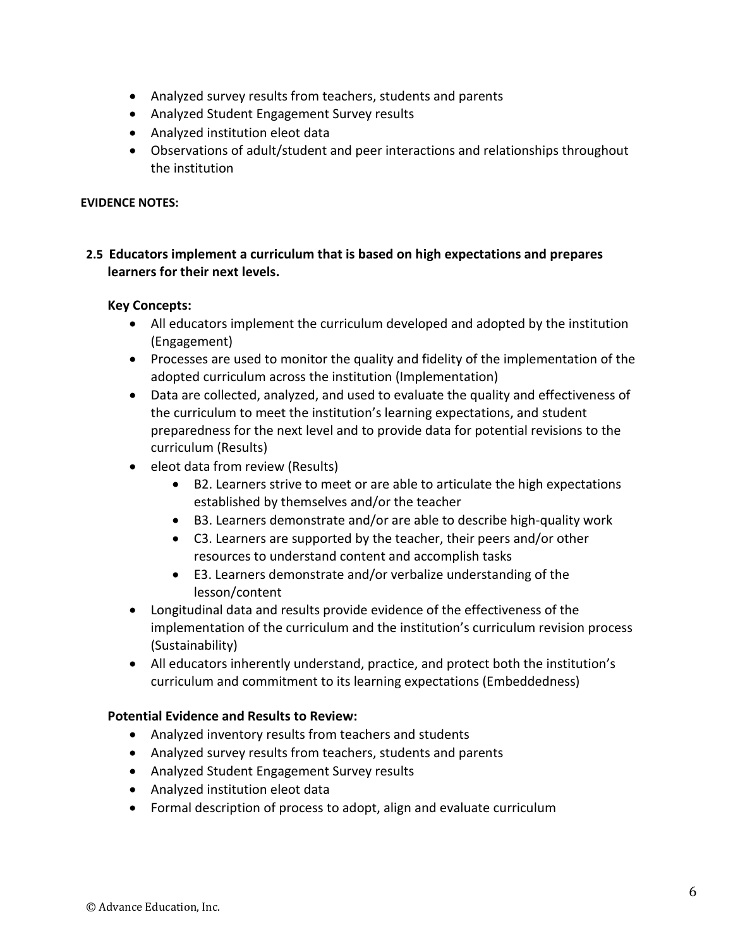- Analyzed survey results from teachers, students and parents
- Analyzed Student Engagement Survey results
- Analyzed institution eleot data
- Observations of adult/student and peer interactions and relationships throughout the institution

# **2.5 Educators implement a curriculum that is based on high expectations and prepares learners for their next levels.**

#### **Key Concepts:**

- All educators implement the curriculum developed and adopted by the institution (Engagement)
- Processes are used to monitor the quality and fidelity of the implementation of the adopted curriculum across the institution (Implementation)
- Data are collected, analyzed, and used to evaluate the quality and effectiveness of the curriculum to meet the institution's learning expectations, and student preparedness for the next level and to provide data for potential revisions to the curriculum (Results)
- eleot data from review (Results)
	- B2. Learners strive to meet or are able to articulate the high expectations established by themselves and/or the teacher
	- B3. Learners demonstrate and/or are able to describe high-quality work
	- C3. Learners are supported by the teacher, their peers and/or other resources to understand content and accomplish tasks
	- E3. Learners demonstrate and/or verbalize understanding of the lesson/content
- Longitudinal data and results provide evidence of the effectiveness of the implementation of the curriculum and the institution's curriculum revision process (Sustainability)
- All educators inherently understand, practice, and protect both the institution's curriculum and commitment to its learning expectations (Embeddedness)

- Analyzed inventory results from teachers and students
- Analyzed survey results from teachers, students and parents
- Analyzed Student Engagement Survey results
- Analyzed institution eleot data
- Formal description of process to adopt, align and evaluate curriculum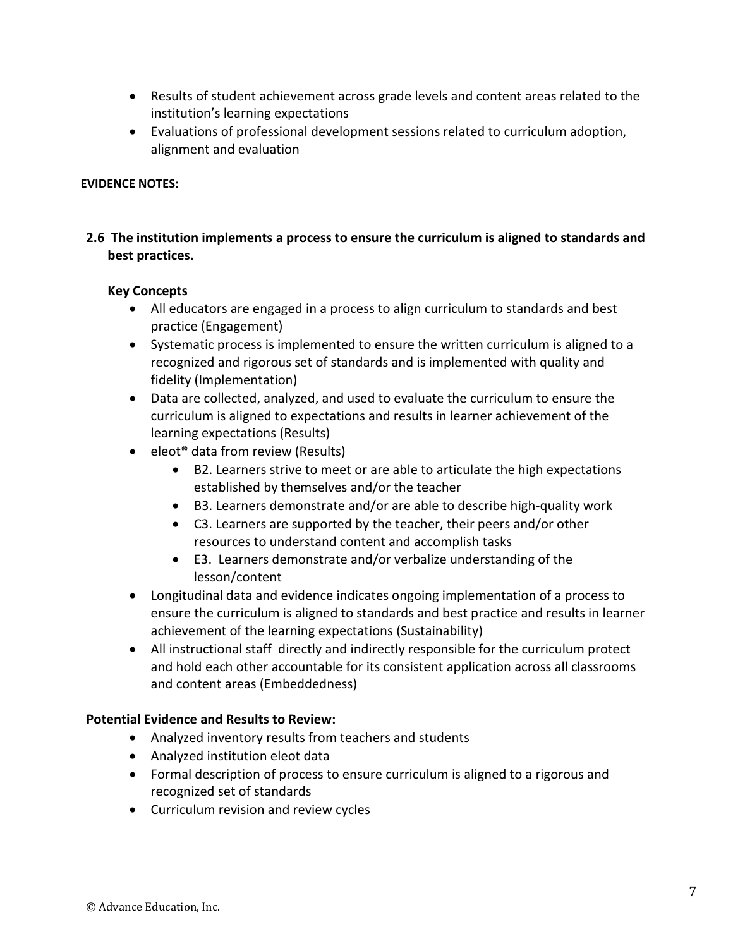- Results of student achievement across grade levels and content areas related to the institution's learning expectations
- Evaluations of professional development sessions related to curriculum adoption, alignment and evaluation

# **2.6 The institution implements a process to ensure the curriculum is aligned to standards and best practices.**

#### **Key Concepts**

- All educators are engaged in a process to align curriculum to standards and best practice (Engagement)
- Systematic process is implemented to ensure the written curriculum is aligned to a recognized and rigorous set of standards and is implemented with quality and fidelity (Implementation)
- Data are collected, analyzed, and used to evaluate the curriculum to ensure the curriculum is aligned to expectations and results in learner achievement of the learning expectations (Results)
- eleot<sup>®</sup> data from review (Results)
	- B2. Learners strive to meet or are able to articulate the high expectations established by themselves and/or the teacher
	- B3. Learners demonstrate and/or are able to describe high-quality work
	- C3. Learners are supported by the teacher, their peers and/or other resources to understand content and accomplish tasks
	- E3. Learners demonstrate and/or verbalize understanding of the lesson/content
- Longitudinal data and evidence indicates ongoing implementation of a process to ensure the curriculum is aligned to standards and best practice and results in learner achievement of the learning expectations (Sustainability)
- All instructional staff directly and indirectly responsible for the curriculum protect and hold each other accountable for its consistent application across all classrooms and content areas (Embeddedness)

- Analyzed inventory results from teachers and students
- Analyzed institution eleot data
- Formal description of process to ensure curriculum is aligned to a rigorous and recognized set of standards
- Curriculum revision and review cycles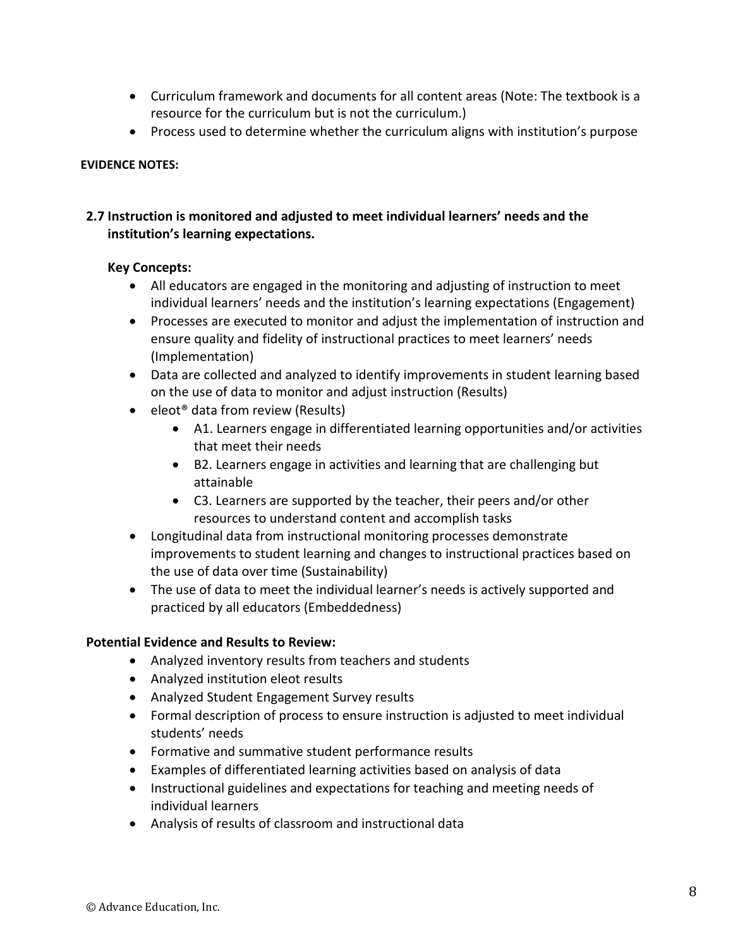- Curriculum framework and documents for all content areas (Note: The textbook is a resource for the curriculum but is not the curriculum.)
- Process used to determine whether the curriculum aligns with institution's purpose

### **2.7 Instruction is monitored and adjusted to meet individual learners' needs and the institution's learning expectations.**

#### **Key Concepts:**

- All educators are engaged in the monitoring and adjusting of instruction to meet individual learners' needs and the institution's learning expectations (Engagement)
- Processes are executed to monitor and adjust the implementation of instruction and ensure quality and fidelity of instructional practices to meet learners' needs (Implementation)
- Data are collected and analyzed to identify improvements in student learning based on the use of data to monitor and adjust instruction (Results)
- eleot<sup>®</sup> data from review (Results)
	- A1. Learners engage in differentiated learning opportunities and/or activities that meet their needs
	- B2. Learners engage in activities and learning that are challenging but attainable
	- C3. Learners are supported by the teacher, their peers and/or other resources to understand content and accomplish tasks
- Longitudinal data from instructional monitoring processes demonstrate improvements to student learning and changes to instructional practices based on the use of data over time (Sustainability)
- The use of data to meet the individual learner's needs is actively supported and practiced by all educators (Embeddedness)

- Analyzed inventory results from teachers and students
- Analyzed institution eleot results
- Analyzed Student Engagement Survey results
- Formal description of process to ensure instruction is adjusted to meet individual students' needs
- Formative and summative student performance results
- Examples of differentiated learning activities based on analysis of data
- Instructional guidelines and expectations for teaching and meeting needs of individual learners
- Analysis of results of classroom and instructional data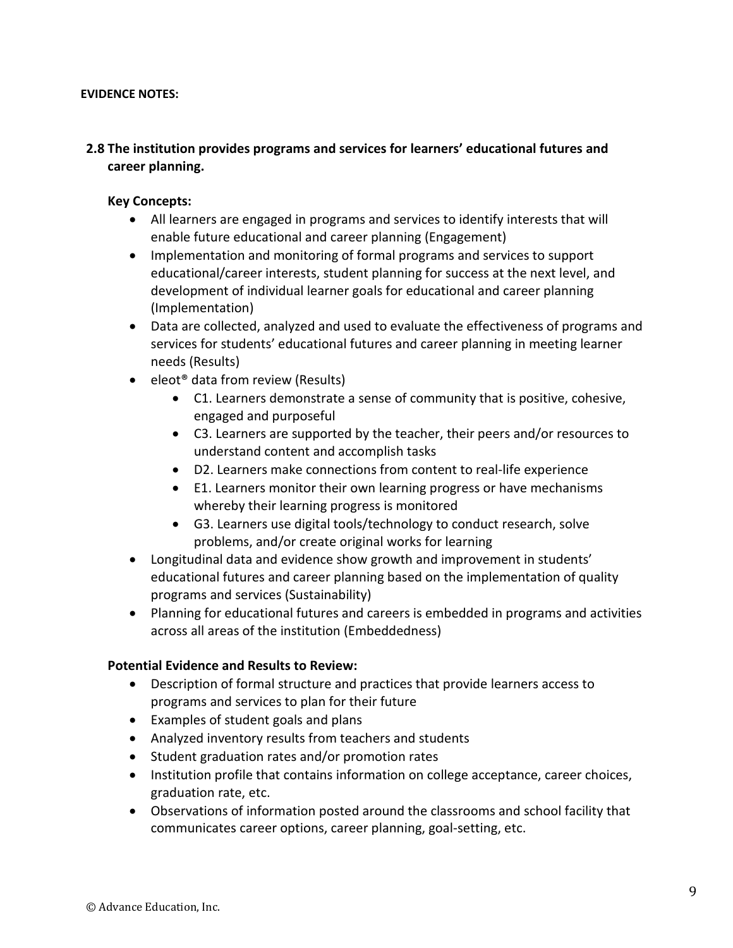# **2.8 The institution provides programs and services for learners' educational futures and career planning.**

#### **Key Concepts:**

- All learners are engaged in programs and services to identify interests that will enable future educational and career planning (Engagement)
- Implementation and monitoring of formal programs and services to support educational/career interests, student planning for success at the next level, and development of individual learner goals for educational and career planning (Implementation)
- Data are collected, analyzed and used to evaluate the effectiveness of programs and services for students' educational futures and career planning in meeting learner needs (Results)
- eleot<sup>®</sup> data from review (Results)
	- C1. Learners demonstrate a sense of community that is positive, cohesive, engaged and purposeful
	- C3. Learners are supported by the teacher, their peers and/or resources to understand content and accomplish tasks
	- D2. Learners make connections from content to real-life experience
	- E1. Learners monitor their own learning progress or have mechanisms whereby their learning progress is monitored
	- G3. Learners use digital tools/technology to conduct research, solve problems, and/or create original works for learning
- Longitudinal data and evidence show growth and improvement in students' educational futures and career planning based on the implementation of quality programs and services (Sustainability)
- Planning for educational futures and careers is embedded in programs and activities across all areas of the institution (Embeddedness)

- Description of formal structure and practices that provide learners access to programs and services to plan for their future
- Examples of student goals and plans
- Analyzed inventory results from teachers and students
- Student graduation rates and/or promotion rates
- Institution profile that contains information on college acceptance, career choices, graduation rate, etc.
- Observations of information posted around the classrooms and school facility that communicates career options, career planning, goal-setting, etc.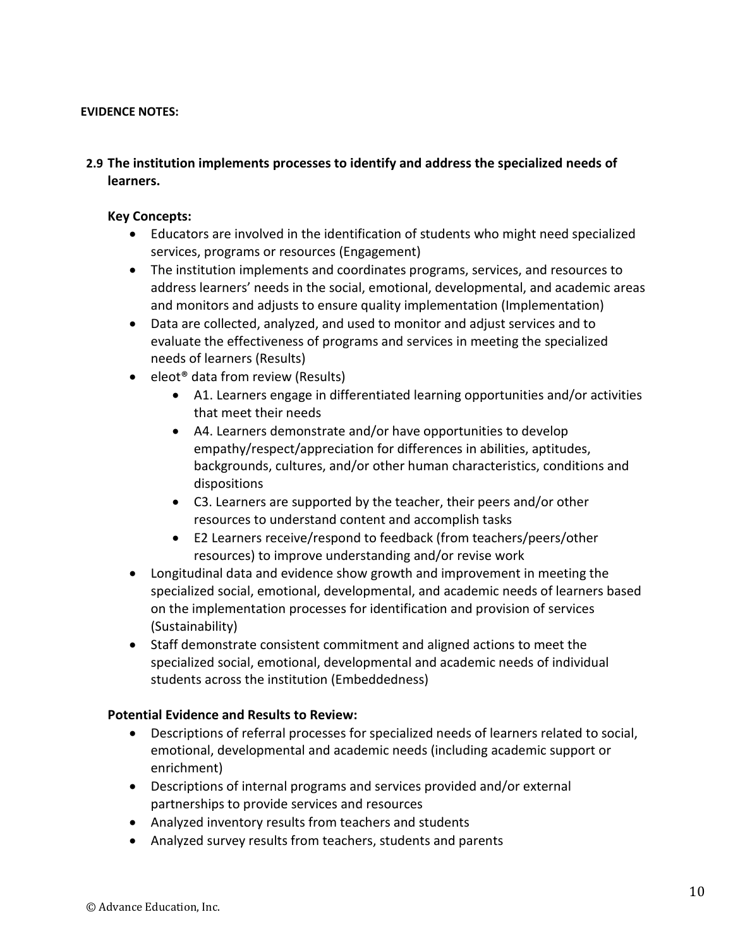# **2.9 The institution implements processes to identify and address the specialized needs of learners.**

#### **Key Concepts:**

- Educators are involved in the identification of students who might need specialized services, programs or resources (Engagement)
- The institution implements and coordinates programs, services, and resources to address learners' needs in the social, emotional, developmental, and academic areas and monitors and adjusts to ensure quality implementation (Implementation)
- Data are collected, analyzed, and used to monitor and adjust services and to evaluate the effectiveness of programs and services in meeting the specialized needs of learners (Results)
- eleot<sup>®</sup> data from review (Results)
	- A1. Learners engage in differentiated learning opportunities and/or activities that meet their needs
	- A4. Learners demonstrate and/or have opportunities to develop empathy/respect/appreciation for differences in abilities, aptitudes, backgrounds, cultures, and/or other human characteristics, conditions and dispositions
	- C3. Learners are supported by the teacher, their peers and/or other resources to understand content and accomplish tasks
	- E2 Learners receive/respond to feedback (from teachers/peers/other resources) to improve understanding and/or revise work
- Longitudinal data and evidence show growth and improvement in meeting the specialized social, emotional, developmental, and academic needs of learners based on the implementation processes for identification and provision of services (Sustainability)
- Staff demonstrate consistent commitment and aligned actions to meet the specialized social, emotional, developmental and academic needs of individual students across the institution (Embeddedness)

- Descriptions of referral processes for specialized needs of learners related to social, emotional, developmental and academic needs (including academic support or enrichment)
- Descriptions of internal programs and services provided and/or external partnerships to provide services and resources
- Analyzed inventory results from teachers and students
- Analyzed survey results from teachers, students and parents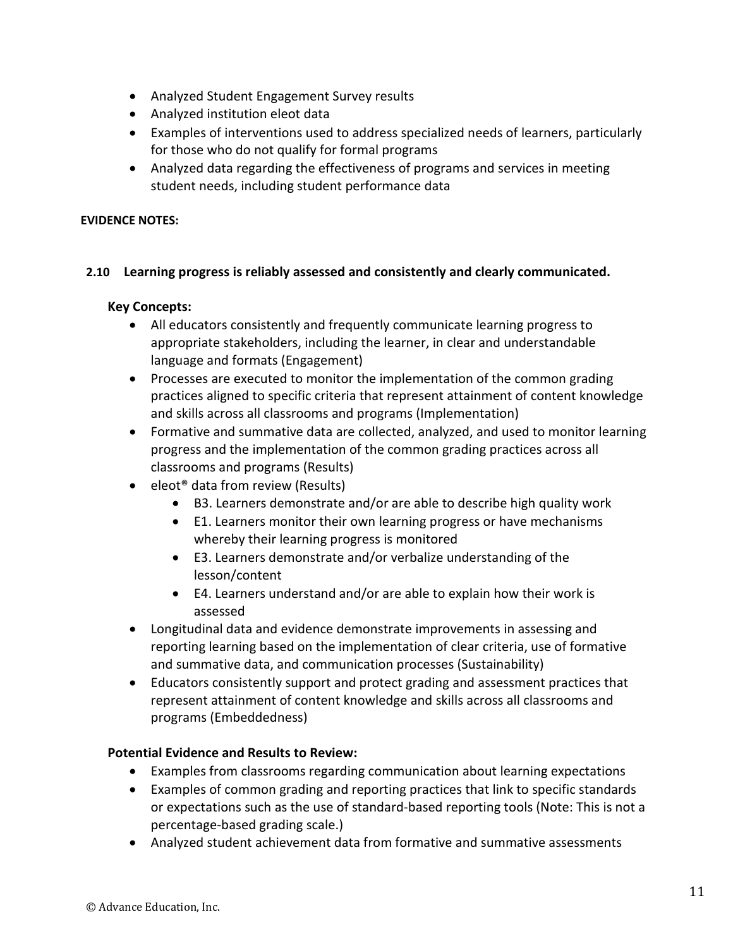- Analyzed Student Engagement Survey results
- Analyzed institution eleot data
- Examples of interventions used to address specialized needs of learners, particularly for those who do not qualify for formal programs
- Analyzed data regarding the effectiveness of programs and services in meeting student needs, including student performance data

# **2.10 Learning progress is reliably assessed and consistently and clearly communicated.**

### **Key Concepts:**

- All educators consistently and frequently communicate learning progress to appropriate stakeholders, including the learner, in clear and understandable language and formats (Engagement)
- Processes are executed to monitor the implementation of the common grading practices aligned to specific criteria that represent attainment of content knowledge and skills across all classrooms and programs (Implementation)
- Formative and summative data are collected, analyzed, and used to monitor learning progress and the implementation of the common grading practices across all classrooms and programs (Results)
- eleot<sup>®</sup> data from review (Results)
	- B3. Learners demonstrate and/or are able to describe high quality work
	- E1. Learners monitor their own learning progress or have mechanisms whereby their learning progress is monitored
	- E3. Learners demonstrate and/or verbalize understanding of the lesson/content
	- E4. Learners understand and/or are able to explain how their work is assessed
- Longitudinal data and evidence demonstrate improvements in assessing and reporting learning based on the implementation of clear criteria, use of formative and summative data, and communication processes (Sustainability)
- Educators consistently support and protect grading and assessment practices that represent attainment of content knowledge and skills across all classrooms and programs (Embeddedness)

- Examples from classrooms regarding communication about learning expectations
- Examples of common grading and reporting practices that link to specific standards or expectations such as the use of standard-based reporting tools (Note: This is not a percentage-based grading scale.)
- Analyzed student achievement data from formative and summative assessments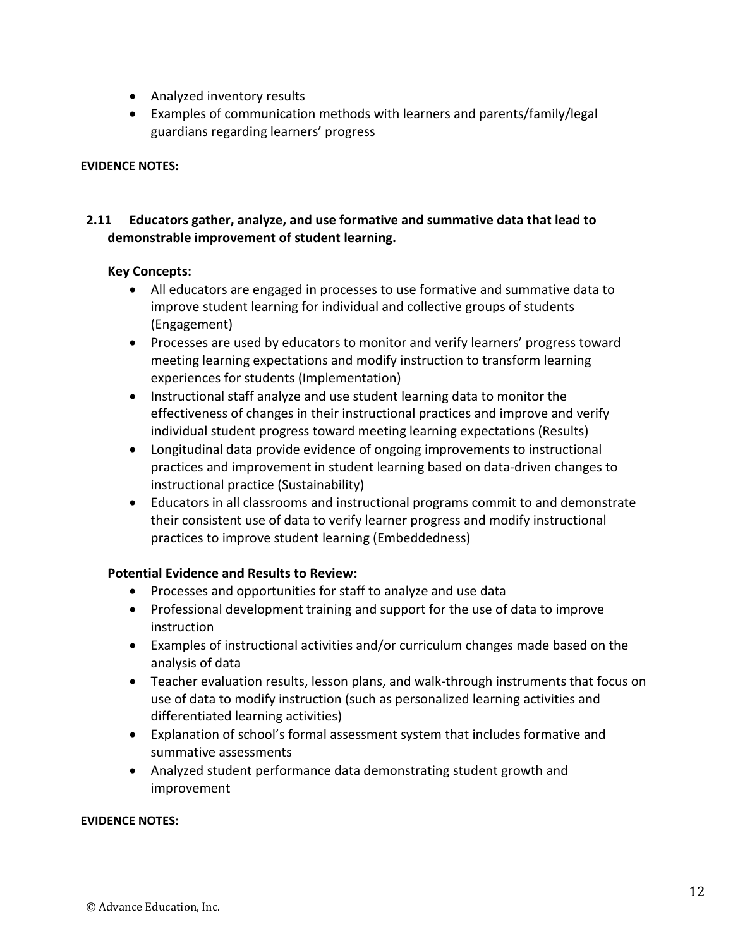- Analyzed inventory results
- Examples of communication methods with learners and parents/family/legal guardians regarding learners' progress

# **2.11 Educators gather, analyze, and use formative and summative data that lead to demonstrable improvement of student learning.**

#### **Key Concepts:**

- All educators are engaged in processes to use formative and summative data to improve student learning for individual and collective groups of students (Engagement)
- Processes are used by educators to monitor and verify learners' progress toward meeting learning expectations and modify instruction to transform learning experiences for students (Implementation)
- Instructional staff analyze and use student learning data to monitor the effectiveness of changes in their instructional practices and improve and verify individual student progress toward meeting learning expectations (Results)
- Longitudinal data provide evidence of ongoing improvements to instructional practices and improvement in student learning based on data-driven changes to instructional practice (Sustainability)
- Educators in all classrooms and instructional programs commit to and demonstrate their consistent use of data to verify learner progress and modify instructional practices to improve student learning (Embeddedness)

#### **Potential Evidence and Results to Review:**

- Processes and opportunities for staff to analyze and use data
- Professional development training and support for the use of data to improve instruction
- Examples of instructional activities and/or curriculum changes made based on the analysis of data
- Teacher evaluation results, lesson plans, and walk-through instruments that focus on use of data to modify instruction (such as personalized learning activities and differentiated learning activities)
- Explanation of school's formal assessment system that includes formative and summative assessments
- Analyzed student performance data demonstrating student growth and improvement

#### **EVIDENCE NOTES:**